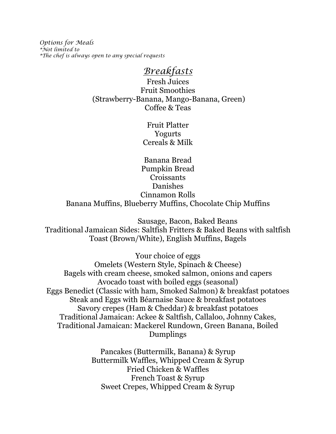*Options for Meals \*Not limited to \*The chef is always open to any special requests*

# *Breakfasts*

Fresh Juices Fruit Smoothies (Strawberry-Banana, Mango-Banana, Green) Coffee & Teas

> Fruit Platter Yogurts Cereals & Milk

Banana Bread Pumpkin Bread Croissants Danishes Cinnamon Rolls Banana Muffins, Blueberry Muffins, Chocolate Chip Muffins

 Sausage, Bacon, Baked Beans Traditional Jamaican Sides: Saltfish Fritters & Baked Beans with saltfish Toast (Brown/White), English Muffins, Bagels

Your choice of eggs

Omelets (Western Style, Spinach & Cheese) Bagels with cream cheese, smoked salmon, onions and capers Avocado toast with boiled eggs (seasonal) Eggs Benedict (Classic with ham, Smoked Salmon) & breakfast potatoes Steak and Eggs with Béarnaise Sauce & breakfast potatoes Savory crepes (Ham & Cheddar) & breakfast potatoes Traditional Jamaican: Ackee & Saltfish, Callaloo, Johnny Cakes, Traditional Jamaican: Mackerel Rundown, Green Banana, Boiled Dumplings

> Pancakes (Buttermilk, Banana) & Syrup Buttermilk Waffles, Whipped Cream & Syrup Fried Chicken & Waffles French Toast & Syrup Sweet Crepes, Whipped Cream & Syrup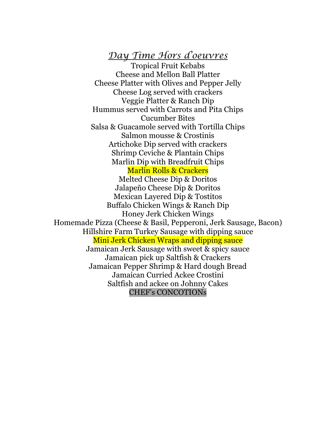# *Day Time Hors d'oeuvres*

Tropical Fruit Kebabs Cheese and Mellon Ball Platter Cheese Platter with Olives and Pepper Jelly Cheese Log served with crackers Veggie Platter & Ranch Dip Hummus served with Carrots and Pita Chips Cucumber Bites Salsa & Guacamole served with Tortilla Chips Salmon mousse & Crostinis Artichoke Dip served with crackers Shrimp Ceviche & Plantain Chips Marlin Dip with Breadfruit Chips Marlin Rolls & Crackers Melted Cheese Dip & Doritos Jalapeño Cheese Dip & Doritos Mexican Layered Dip & Tostitos Buffalo Chicken Wings & Ranch Dip Honey Jerk Chicken Wings Homemade Pizza (Cheese & Basil, Pepperoni, Jerk Sausage, Bacon) Hillshire Farm Turkey Sausage with dipping sauce Mini Jerk Chicken Wraps and dipping sauce Jamaican Jerk Sausage with sweet & spicy sauce Jamaican pick up Saltfish & Crackers Jamaican Pepper Shrimp & Hard dough Bread Jamaican Curried Ackee Crostini Saltfish and ackee on Johnny Cakes CHEF's CONCOTIONs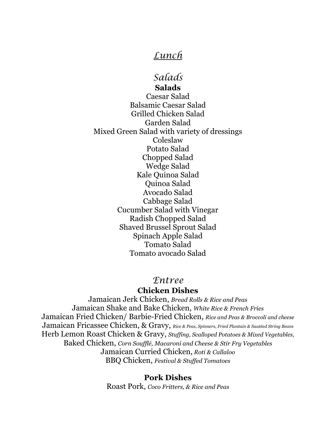# *Lunch*

# *Salads*

**Salads** Caesar Salad Balsamic Caesar Salad Grilled Chicken Salad Garden Salad Mixed Green Salad with variety of dressings Coleslaw Potato Salad Chopped Salad Wedge Salad Kale Quinoa Salad Quinoa Salad Avocado Salad Cabbage Salad Cucumber Salad with Vinegar Radish Chopped Salad Shaved Brussel Sprout Salad Spinach Apple Salad Tomato Salad Tomato avocado Salad

## *Entree*

## **Chicken Dishes**

Jamaican Jerk Chicken, *Bread Rolls & Rice and Peas* Jamaican Shake and Bake Chicken, *White Rice & French Fries* Jamaican Fried Chicken/ Barbie-Fried Chicken, *Rice and Peas & Broccoli and cheese* Jamaican Fricassee Chicken, & Gravy, *Rice & Peas, Spinners, Fried Plantain & Sautéed String Beans* Herb Lemon Roast Chicken & Gravy, *Stuffing, Scalloped Potatoes & Mixed Vegetables,* Baked Chicken, *Corn Soufflé, Macaroni and Cheese & Stir Fry Vegetables* Jamaican Curried Chicken, *Roti & Callaloo* BBQ Chicken, *Festival & Stuffed Tomatoes*

#### **Pork Dishes**

Roast Pork, *Coco Fritters, & Rice and Peas*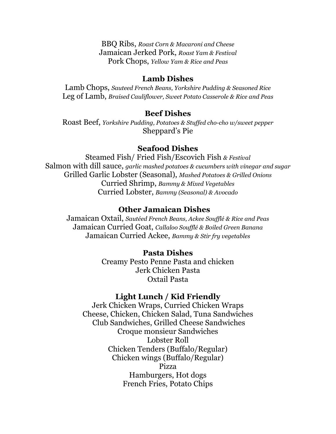BBQ Ribs, *Roast Corn & Macaroni and Cheese* Jamaican Jerked Pork, *Roast Yam & Festival* Pork Chops, *Yellow Yam & Rice and Peas*

#### **Lamb Dishes**

Lamb Chops, *Sauteed French Beans, Yorkshire Pudding & Seasoned Rice* Leg of Lamb, *Braised Cauliflower, Sweet Potato Casserole & Rice and Peas*

#### **Beef Dishes**

Roast Beef, *Yorkshire Pudding, Potatoes & Stuffed cho-cho w/sweet pepper* Sheppard's Pie

#### **Seafood Dishes**

Steamed Fish/ Fried Fish/Escovich Fish *& Festival* Salmon with dill sauce, *garlic mashed potatoes & cucumbers with vinegar and sugar*  Grilled Garlic Lobster (Seasonal), *Mashed Potatoes & Grilled Onions* Curried Shrimp, *Bammy & Mixed Vegetables*  Curried Lobster, *Bammy (Seasonal) & Avocado* 

#### **Other Jamaican Dishes**

Jamaican Oxtail, *Sautéed French Beans, Ackee Soufflé & Rice and Peas* Jamaican Curried Goat, *Callaloo Soufflé & Boiled Green Banana* Jamaican Curried Ackee, *Bammy & Stir fry vegetables*

#### **Pasta Dishes**

Creamy Pesto Penne Pasta and chicken Jerk Chicken Pasta Oxtail Pasta

## **Light Lunch / Kid Friendly**

Jerk Chicken Wraps, Curried Chicken Wraps Cheese, Chicken, Chicken Salad, Tuna Sandwiches Club Sandwiches, Grilled Cheese Sandwiches Croque monsieur Sandwiches Lobster Roll Chicken Tenders (Buffalo/Regular) Chicken wings (Buffalo/Regular) Pizza Hamburgers, Hot dogs French Fries, Potato Chips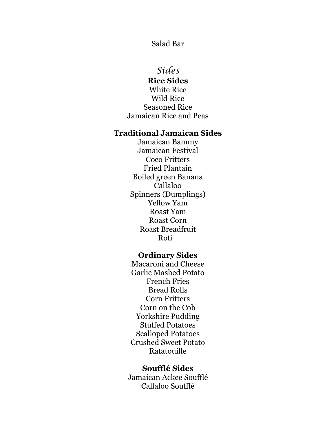Salad Bar

# *Sides*

**Rice Sides** White Rice Wild Rice Seasoned Rice Jamaican Rice and Peas

#### **Traditional Jamaican Sides**

Jamaican Bammy Jamaican Festival Coco Fritters Fried Plantain Boiled green Banana Callaloo Spinners (Dumplings) Yellow Yam Roast Yam Roast Corn Roast Breadfruit Roti

# **Ordinary Sides**

Macaroni and Cheese Garlic Mashed Potato French Fries Bread Rolls Corn Fritters Corn on the Cob Yorkshire Pudding Stuffed Potatoes Scalloped Potatoes Crushed Sweet Potato Ratatouille

#### **Soufflé Sides**

Jamaican Ackee Soufflé Callaloo Soufflé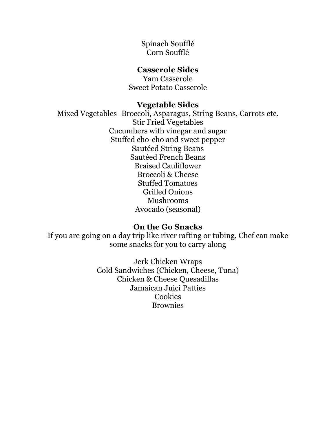Spinach Soufflé Corn Soufflé

## **Casserole Sides**

Yam Casserole Sweet Potato Casserole

#### **Vegetable Sides**

Mixed Vegetables- Broccoli, Asparagus, String Beans, Carrots etc. Stir Fried Vegetables Cucumbers with vinegar and sugar Stuffed cho-cho and sweet pepper Sautéed String Beans Sautéed French Beans Braised Cauliflower Broccoli & Cheese Stuffed Tomatoes Grilled Onions Mushrooms Avocado (seasonal)

## **On the Go Snacks**

If you are going on a day trip like river rafting or tubing, Chef can make some snacks for you to carry along

> Jerk Chicken Wraps Cold Sandwiches (Chicken, Cheese, Tuna) Chicken & Cheese Quesadillas Jamaican Juici Patties Cookies **Brownies**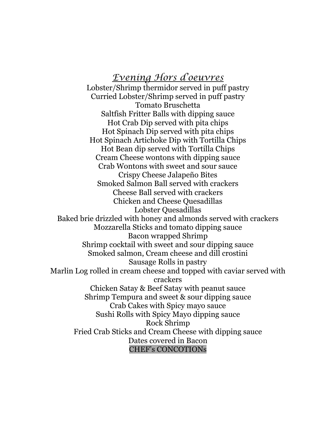# *Evening Hors d'oeuvres*

Lobster/Shrimp thermidor served in puff pastry Curried Lobster/Shrimp served in puff pastry Tomato Bruschetta Saltfish Fritter Balls with dipping sauce Hot Crab Dip served with pita chips Hot Spinach Dip served with pita chips Hot Spinach Artichoke Dip with Tortilla Chips Hot Bean dip served with Tortilla Chips Cream Cheese wontons with dipping sauce Crab Wontons with sweet and sour sauce Crispy Cheese Jalapeño Bites Smoked Salmon Ball served with crackers Cheese Ball served with crackers Chicken and Cheese Quesadillas Lobster Quesadillas Baked brie drizzled with honey and almonds served with crackers Mozzarella Sticks and tomato dipping sauce Bacon wrapped Shrimp Shrimp cocktail with sweet and sour dipping sauce Smoked salmon, Cream cheese and dill crostini Sausage Rolls in pastry Marlin Log rolled in cream cheese and topped with caviar served with crackers Chicken Satay & Beef Satay with peanut sauce Shrimp Tempura and sweet & sour dipping sauce Crab Cakes with Spicy mayo sauce Sushi Rolls with Spicy Mayo dipping sauce Rock Shrimp Fried Crab Sticks and Cream Cheese with dipping sauce Dates covered in Bacon CHEF's CONCOTIONs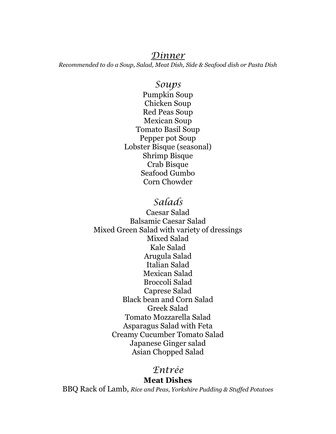## *Dinner*

*Recommended to do a Soup, Salad, Meat Dish, Side & Seafood dish or Pasta Dish*

# *Soups*

Pumpkin Soup Chicken Soup Red Peas Soup Mexican Soup Tomato Basil Soup Pepper pot Soup Lobster Bisque (seasonal) Shrimp Bisque Crab Bisque Seafood Gumbo Corn Chowder

# *Salads*

Caesar Salad Balsamic Caesar Salad Mixed Green Salad with variety of dressings Mixed Salad Kale Salad Arugula Salad Italian Salad Mexican Salad Broccoli Salad Caprese Salad Black bean and Corn Salad Greek Salad Tomato Mozzarella Salad Asparagus Salad with Feta Creamy Cucumber Tomato Salad Japanese Ginger salad Asian Chopped Salad

# *Entrée*

#### **Meat Dishes**

BBQ Rack of Lamb, *Rice and Peas, Yorkshire Pudding & Stuffed Potatoes*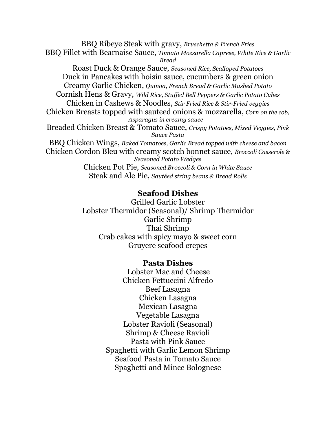BBQ Ribeye Steak with gravy, *Bruschetta & French Fries* BBQ Fillet with Bearnaise Sauce, *Tomato Mozzarella Caprese, White Rice & Garlic Bread* Roast Duck & Orange Sauce, *Seasoned Rice, Scalloped Potatoes* Duck in Pancakes with hoisin sauce, cucumbers & green onion Creamy Garlic Chicken, *Quinoa, French Bread & Garlic Mashed Potato* Cornish Hens & Gravy, *Wild Rice, Stuffed Bell Peppers & Garlic Potato Cubes* Chicken in Cashews & Noodles, *Stir Fried Rice & Stir-Fried veggies* Chicken Breasts topped with sauteed onions & mozzarella, *Corn on the cob, Asparagus in creamy sauce* Breaded Chicken Breast & Tomato Sauce, *Crispy Potatoes, Mixed Veggies, Pink Sauce Pasta* BBQ Chicken Wings, *Baked Tomatoes, Garlic Bread topped with cheese and bacon* Chicken Cordon Bleu with creamy scotch bonnet sauce, *Broccoli Casserole* & *Seasoned Potato Wedges* Chicken Pot Pie, *Seasoned Broccoli & Corn in White Sauce* Steak and Ale Pie, *Sautéed string beans & Bread Rolls*

#### **Seafood Dishes**

Grilled Garlic Lobster Lobster Thermidor (Seasonal)/ Shrimp Thermidor Garlic Shrimp Thai Shrimp Crab cakes with spicy mayo & sweet corn Gruyere seafood crepes

#### **Pasta Dishes**

Lobster Mac and Cheese Chicken Fettuccini Alfredo Beef Lasagna Chicken Lasagna Mexican Lasagna Vegetable Lasagna Lobster Ravioli (Seasonal) Shrimp & Cheese Ravioli Pasta with Pink Sauce Spaghetti with Garlic Lemon Shrimp Seafood Pasta in Tomato Sauce Spaghetti and Mince Bolognese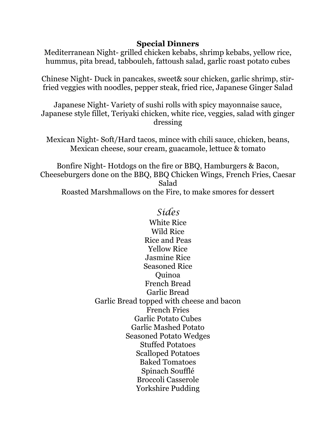# **Special Dinners**

Mediterranean Night- grilled chicken kebabs, shrimp kebabs, yellow rice, hummus, pita bread, tabbouleh, fattoush salad, garlic roast potato cubes

Chinese Night- Duck in pancakes, sweet& sour chicken, garlic shrimp, stirfried veggies with noodles, pepper steak, fried rice, Japanese Ginger Salad

Japanese Night- Variety of sushi rolls with spicy mayonnaise sauce, Japanese style fillet, Teriyaki chicken, white rice, veggies, salad with ginger dressing

Mexican Night- Soft/Hard tacos, mince with chili sauce, chicken, beans, Mexican cheese, sour cream, guacamole, lettuce & tomato

Bonfire Night- Hotdogs on the fire or BBQ, Hamburgers & Bacon, Cheeseburgers done on the BBQ, BBQ Chicken Wings, French Fries, Caesar Salad Roasted Marshmallows on the Fire, to make smores for dessert

> *Sides* White Rice Wild Rice Rice and Peas Yellow Rice Jasmine Rice Seasoned Rice Quinoa French Bread Garlic Bread Garlic Bread topped with cheese and bacon French Fries Garlic Potato Cubes Garlic Mashed Potato Seasoned Potato Wedges Stuffed Potatoes Scalloped Potatoes Baked Tomatoes Spinach Soufflé Broccoli Casserole Yorkshire Pudding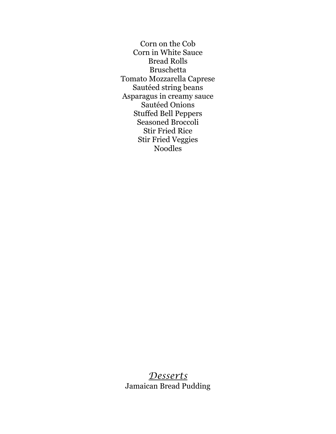Corn on the Cob Corn in White Sauce Bread Rolls Bruschetta Tomato Mozzarella Caprese Sautéed string beans Asparagus in creamy sauce Sautéed Onions Stuffed Bell Peppers Seasoned Broccoli Stir Fried Rice Stir Fried Veggies Noodles

# *Desserts* Jamaican Bread Pudding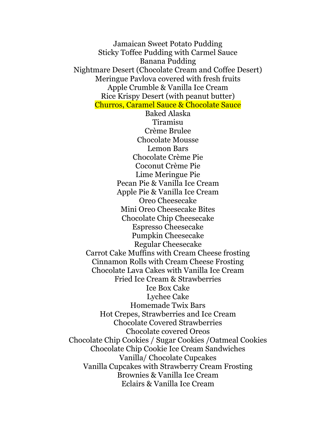Jamaican Sweet Potato Pudding Sticky Toffee Pudding with Carmel Sauce Banana Pudding Nightmare Desert (Chocolate Cream and Coffee Desert) Meringue Pavlova covered with fresh fruits Apple Crumble & Vanilla Ice Cream Rice Krispy Desert (with peanut butter) Churros, Caramel Sauce & Chocolate Sauce Baked Alaska Tiramisu Crème Brulee Chocolate Mousse Lemon Bars Chocolate Crème Pie Coconut Crème Pie Lime Meringue Pie Pecan Pie & Vanilla Ice Cream Apple Pie & Vanilla Ice Cream Oreo Cheesecake Mini Oreo Cheesecake Bites Chocolate Chip Cheesecake Espresso Cheesecake Pumpkin Cheesecake Regular Cheesecake Carrot Cake Muffins with Cream Cheese frosting Cinnamon Rolls with Cream Cheese Frosting Chocolate Lava Cakes with Vanilla Ice Cream Fried Ice Cream & Strawberries Ice Box Cake Lychee Cake Homemade Twix Bars Hot Crepes, Strawberries and Ice Cream Chocolate Covered Strawberries Chocolate covered Oreos Chocolate Chip Cookies / Sugar Cookies /Oatmeal Cookies Chocolate Chip Cookie Ice Cream Sandwiches Vanilla/ Chocolate Cupcakes Vanilla Cupcakes with Strawberry Cream Frosting Brownies & Vanilla Ice Cream Eclairs & Vanilla Ice Cream